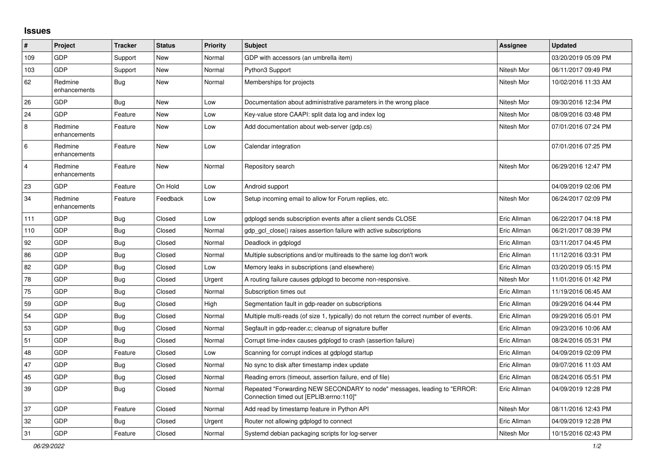## **Issues**

| #                       | Project                 | <b>Tracker</b> | <b>Status</b> | Priority | <b>Subject</b>                                                                                                      | <b>Assignee</b> | <b>Updated</b>      |
|-------------------------|-------------------------|----------------|---------------|----------|---------------------------------------------------------------------------------------------------------------------|-----------------|---------------------|
| 109                     | <b>GDP</b>              | Support        | New           | Normal   | GDP with accessors (an umbrella item)                                                                               |                 | 03/20/2019 05:09 PM |
| 103                     | GDP                     | Support        | <b>New</b>    | Normal   | Python3 Support                                                                                                     | Nitesh Mor      | 06/11/2017 09:49 PM |
| 62                      | Redmine<br>enhancements | <b>Bug</b>     | <b>New</b>    | Normal   | Memberships for projects                                                                                            | Nitesh Mor      | 10/02/2016 11:33 AM |
| 26                      | GDP                     | Bug            | New           | Low      | Documentation about administrative parameters in the wrong place                                                    | Nitesh Mor      | 09/30/2016 12:34 PM |
| 24                      | GDP                     | Feature        | New           | Low      | Key-value store CAAPI: split data log and index log                                                                 | Nitesh Mor      | 08/09/2016 03:48 PM |
| 8                       | Redmine<br>enhancements | Feature        | New           | Low      | Add documentation about web-server (gdp.cs)                                                                         | Nitesh Mor      | 07/01/2016 07:24 PM |
| $\,6$                   | Redmine<br>enhancements | Feature        | New           | Low      | Calendar integration                                                                                                |                 | 07/01/2016 07:25 PM |
| $\overline{\mathbf{4}}$ | Redmine<br>enhancements | Feature        | New           | Normal   | Repository search                                                                                                   | Nitesh Mor      | 06/29/2016 12:47 PM |
| 23                      | <b>GDP</b>              | Feature        | On Hold       | Low      | Android support                                                                                                     |                 | 04/09/2019 02:06 PM |
| 34                      | Redmine<br>enhancements | Feature        | Feedback      | Low      | Setup incoming email to allow for Forum replies, etc.                                                               | Nitesh Mor      | 06/24/2017 02:09 PM |
| 111                     | GDP                     | Bug            | Closed        | Low      | gdplogd sends subscription events after a client sends CLOSE                                                        | Eric Allman     | 06/22/2017 04:18 PM |
| 110                     | GDP                     | Bug            | Closed        | Normal   | gdp gcl close() raises assertion failure with active subscriptions                                                  | Eric Allman     | 06/21/2017 08:39 PM |
| 92                      | GDP                     | Bug            | Closed        | Normal   | Deadlock in gdplogd                                                                                                 | Eric Allman     | 03/11/2017 04:45 PM |
| 86                      | <b>GDP</b>              | <b>Bug</b>     | Closed        | Normal   | Multiple subscriptions and/or multireads to the same log don't work                                                 | Eric Allman     | 11/12/2016 03:31 PM |
| 82                      | GDP                     | <b>Bug</b>     | Closed        | Low      | Memory leaks in subscriptions (and elsewhere)                                                                       | Eric Allman     | 03/20/2019 05:15 PM |
| 78                      | GDP                     | Bug            | Closed        | Urgent   | A routing failure causes gdplogd to become non-responsive.                                                          | Nitesh Mor      | 11/01/2016 01:42 PM |
| 75                      | GDP                     | <b>Bug</b>     | Closed        | Normal   | Subscription times out                                                                                              | Eric Allman     | 11/19/2016 06:45 AM |
| 59                      | <b>GDP</b>              | <b>Bug</b>     | Closed        | High     | Segmentation fault in gdp-reader on subscriptions                                                                   | Eric Allman     | 09/29/2016 04:44 PM |
| 54                      | GDP                     | Bug            | Closed        | Normal   | Multiple multi-reads (of size 1, typically) do not return the correct number of events.                             | Eric Allman     | 09/29/2016 05:01 PM |
| 53                      | GDP                     | Bug            | Closed        | Normal   | Segfault in gdp-reader.c; cleanup of signature buffer                                                               | Eric Allman     | 09/23/2016 10:06 AM |
| 51                      | <b>GDP</b>              | <b>Bug</b>     | Closed        | Normal   | Corrupt time-index causes gdplogd to crash (assertion failure)                                                      | Eric Allman     | 08/24/2016 05:31 PM |
| 48                      | GDP                     | Feature        | Closed        | Low      | Scanning for corrupt indices at gdplogd startup                                                                     | Eric Allman     | 04/09/2019 02:09 PM |
| 47                      | GDP                     | Bug            | Closed        | Normal   | No sync to disk after timestamp index update                                                                        | Eric Allman     | 09/07/2016 11:03 AM |
| 45                      | GDP                     | <b>Bug</b>     | Closed        | Normal   | Reading errors (timeout, assertion failure, end of file)                                                            | Eric Allman     | 08/24/2016 05:51 PM |
| 39                      | <b>GDP</b>              | Bug            | Closed        | Normal   | Repeated "Forwarding NEW SECONDARY to node" messages, leading to "ERROR:<br>Connection timed out [EPLIB:errno:110]" | Eric Allman     | 04/09/2019 12:28 PM |
| 37                      | GDP                     | Feature        | Closed        | Normal   | Add read by timestamp feature in Python API                                                                         | Nitesh Mor      | 08/11/2016 12:43 PM |
| 32                      | <b>GDP</b>              | <b>Bug</b>     | Closed        | Urgent   | Router not allowing gdplogd to connect                                                                              | Eric Allman     | 04/09/2019 12:28 PM |
| 31                      | GDP                     | Feature        | Closed        | Normal   | Systemd debian packaging scripts for log-server                                                                     | Nitesh Mor      | 10/15/2016 02:43 PM |